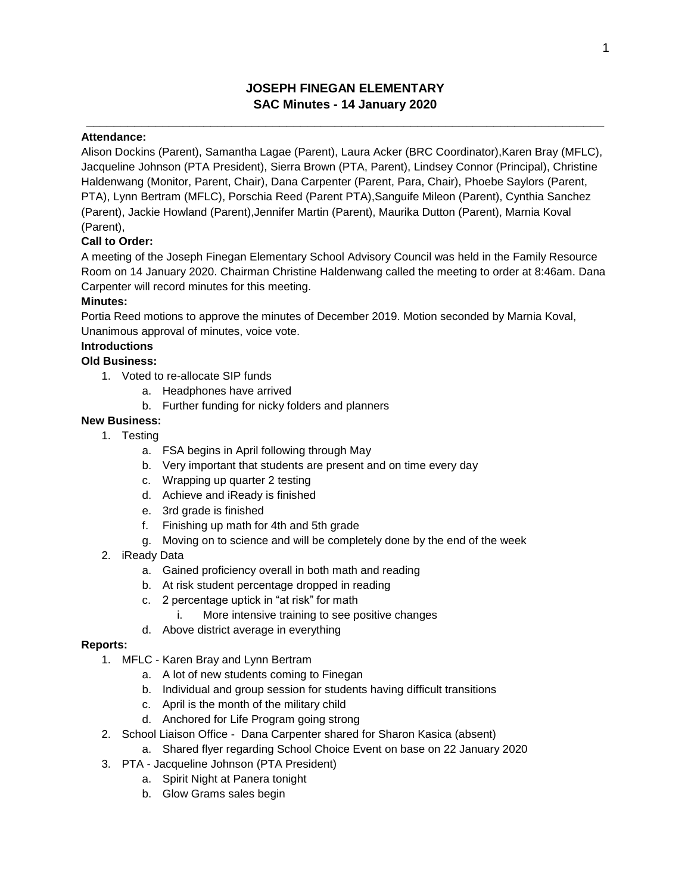# **JOSEPH FINEGAN ELEMENTARY SAC Minutes - 14 January 2020**

**\_\_\_\_\_\_\_\_\_\_\_\_\_\_\_\_\_\_\_\_\_\_\_\_\_\_\_\_\_\_\_\_\_\_\_\_\_\_\_\_\_\_\_\_\_\_\_\_\_\_\_\_\_\_\_\_\_\_\_\_\_\_\_\_\_\_\_\_\_\_\_\_\_\_\_**

## **Attendance:**

Alison Dockins (Parent), Samantha Lagae (Parent), Laura Acker (BRC Coordinator),Karen Bray (MFLC), Jacqueline Johnson (PTA President), Sierra Brown (PTA, Parent), Lindsey Connor (Principal), Christine Haldenwang (Monitor, Parent, Chair), Dana Carpenter (Parent, Para, Chair), Phoebe Saylors (Parent, PTA), Lynn Bertram (MFLC), Porschia Reed (Parent PTA),Sanguife Mileon (Parent), Cynthia Sanchez (Parent), Jackie Howland (Parent),Jennifer Martin (Parent), Maurika Dutton (Parent), Marnia Koval (Parent),

# **Call to Order:**

A meeting of the Joseph Finegan Elementary School Advisory Council was held in the Family Resource Room on 14 January 2020. Chairman Christine Haldenwang called the meeting to order at 8:46am. Dana Carpenter will record minutes for this meeting.

## **Minutes:**

Portia Reed motions to approve the minutes of December 2019. Motion seconded by Marnia Koval, Unanimous approval of minutes, voice vote.

## **Introductions**

# **Old Business:**

- 1. Voted to re-allocate SIP funds
	- a. Headphones have arrived
	- b. Further funding for nicky folders and planners

# **New Business:**

- 1. Testing
	- a. FSA begins in April following through May
	- b. Very important that students are present and on time every day
	- c. Wrapping up quarter 2 testing
	- d. Achieve and iReady is finished
	- e. 3rd grade is finished
	- f. Finishing up math for 4th and 5th grade
	- g. Moving on to science and will be completely done by the end of the week
- 2. iReady Data
	- a. Gained proficiency overall in both math and reading
	- b. At risk student percentage dropped in reading
	- c. 2 percentage uptick in "at risk" for math
		- i. More intensive training to see positive changes
	- d. Above district average in everything

#### **Reports:**

- 1. MFLC Karen Bray and Lynn Bertram
	- a. A lot of new students coming to Finegan
	- b. Individual and group session for students having difficult transitions
	- c. April is the month of the military child
	- d. Anchored for Life Program going strong
- 2. School Liaison Office Dana Carpenter shared for Sharon Kasica (absent)
	- a. Shared flyer regarding School Choice Event on base on 22 January 2020
- 3. PTA Jacqueline Johnson (PTA President)
	- a. Spirit Night at Panera tonight
	- b. Glow Grams sales begin